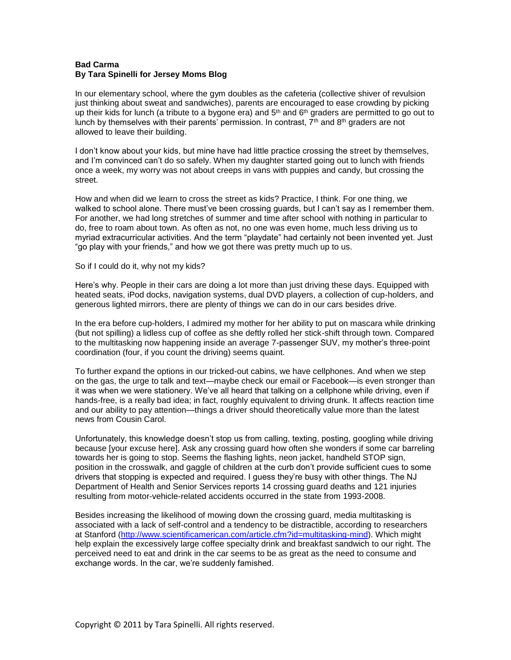## **Bad Carma By Tara Spinelli for Jersey Moms Blog**

In our elementary school, where the gym doubles as the cafeteria (collective shiver of revulsion just thinking about sweat and sandwiches), parents are encouraged to ease crowding by picking up their kids for lunch (a tribute to a bygone era) and  $5<sup>th</sup>$  and  $6<sup>th</sup>$  graders are permitted to go out to lunch by themselves with their parents' permission. In contrast,  $\bar{I}^{\text{th}}$  and  $8^{\text{th}}$  graders are not allowed to leave their building.

I don't know about your kids, but mine have had little practice crossing the street by themselves, and I'm convinced can't do so safely. When my daughter started going out to lunch with friends once a week, my worry was not about creeps in vans with puppies and candy, but crossing the street.

How and when did we learn to cross the street as kids? Practice, I think. For one thing, we walked to school alone. There must've been crossing guards, but I can't say as I remember them. For another, we had long stretches of summer and time after school with nothing in particular to do, free to roam about town. As often as not, no one was even home, much less driving us to myriad extracurricular activities. And the term "playdate" had certainly not been invented yet. Just "go play with your friends," and how we got there was pretty much up to us.

## So if I could do it, why not my kids?

Here's why. People in their cars are doing a lot more than just driving these days. Equipped with heated seats, iPod docks, navigation systems, dual DVD players, a collection of cup-holders, and generous lighted mirrors, there are plenty of things we can do in our cars besides drive.

In the era before cup-holders, I admired my mother for her ability to put on mascara while drinking (but not spilling) a lidless cup of coffee as she deftly rolled her stick-shift through town. Compared to the multitasking now happening inside an average 7-passenger SUV, my mother's three-point coordination (four, if you count the driving) seems quaint.

To further expand the options in our tricked-out cabins, we have cellphones. And when we step on the gas, the urge to talk and text—maybe check our email or Facebook—is even stronger than it was when we were stationery. We've all heard that talking on a cellphone while driving, even if hands-free, is a really bad idea; in fact, roughly equivalent to driving drunk. It affects reaction time and our ability to pay attention—things a driver should theoretically value more than the latest news from Cousin Carol.

Unfortunately, this knowledge doesn't stop us from calling, texting, posting, googling while driving because [your excuse here]. Ask any crossing guard how often she wonders if some car barreling towards her is going to stop. Seems the flashing lights, neon jacket, handheld STOP sign, position in the crosswalk, and gaggle of children at the curb don't provide sufficient cues to some drivers that stopping is expected and required. I guess they're busy with other things. The NJ Department of Health and Senior Services reports 14 crossing guard deaths and 121 injuries resulting from motor-vehicle-related accidents occurred in the state from 1993-2008.

Besides increasing the likelihood of mowing down the crossing guard, media multitasking is associated with a lack of self-control and a tendency to be distractible, according to researchers at Stanford [\(http://www.scientificamerican.com/article.cfm?id=multitasking-mind\)](http://www.scientificamerican.com/article.cfm?id=multitasking-mind). Which might help explain the excessively large coffee specialty drink and breakfast sandwich to our right. The perceived need to eat and drink in the car seems to be as great as the need to consume and exchange words. In the car, we're suddenly famished.